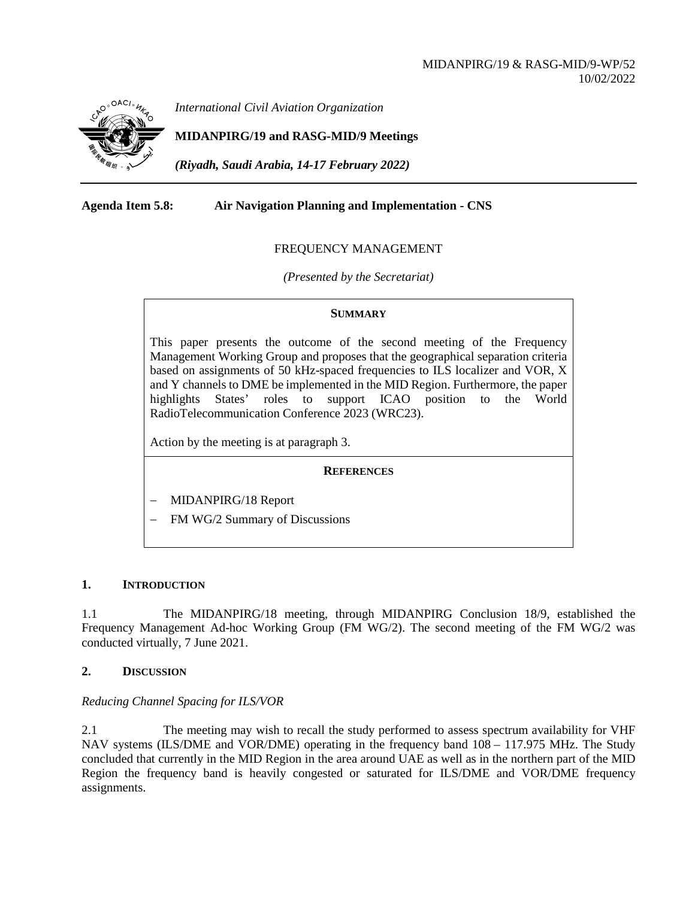

*International Civil Aviation Organization*

# **MIDANPIRG/19 and RASG-MID/9 Meetings**

*(Riyadh, Saudi Arabia, 14-17 February 2022)*

## **Agenda Item 5.8: Air Navigation Planning and Implementation - CNS**

## FREQUENCY MANAGEMENT

*(Presented by the Secretariat)*

## **SUMMARY**

This paper presents the outcome of the second meeting of the Frequency Management Working Group and proposes that the geographical separation criteria based on assignments of 50 kHz-spaced frequencies to ILS localizer and VOR, X and Y channels to DME be implemented in the MID Region. Furthermore, the paper highlights States' roles to support ICAO position to the World RadioTelecommunication Conference 2023 (WRC23).

Action by the meeting is at paragraph 3.

# **REFERENCES**

- − MIDANPIRG/18 Report
- FM WG/2 Summary of Discussions

## **1. INTRODUCTION**

1.1 The MIDANPIRG/18 meeting, through MIDANPIRG Conclusion 18/9, established the Frequency Management Ad-hoc Working Group (FM WG/2). The second meeting of the FM WG/2 was conducted virtually, 7 June 2021.

## **2. DISCUSSION**

# *Reducing Channel Spacing for ILS/VOR*

2.1 The meeting may wish to recall the study performed to assess spectrum availability for VHF NAV systems (ILS/DME and VOR/DME) operating in the frequency band 108 – 117.975 MHz. The Study concluded that currently in the MID Region in the area around UAE as well as in the northern part of the MID Region the frequency band is heavily congested or saturated for ILS/DME and VOR/DME frequency assignments.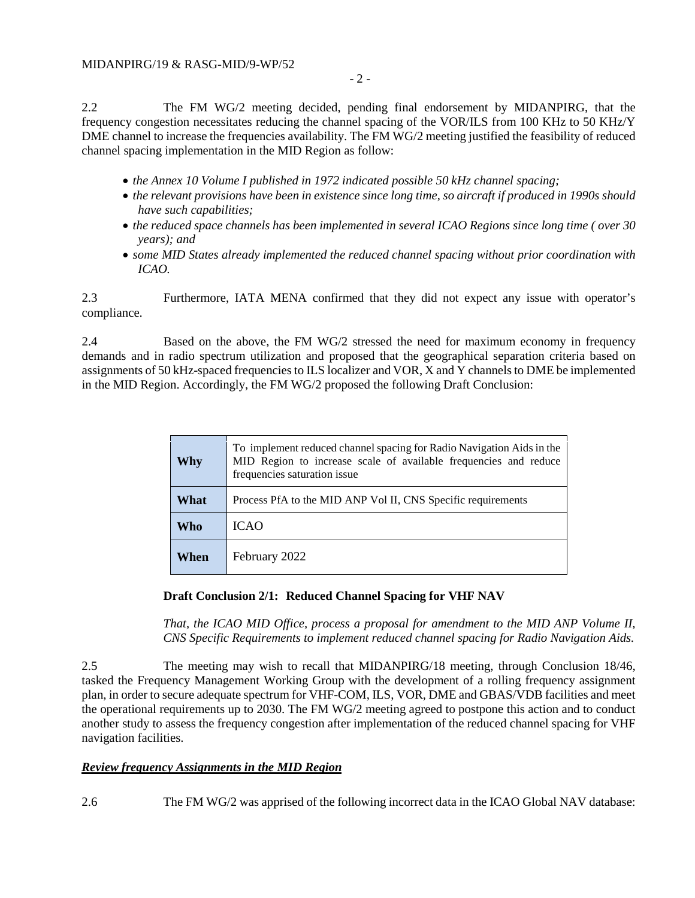2.2 The FM WG/2 meeting decided, pending final endorsement by MIDANPIRG, that the frequency congestion necessitates reducing the channel spacing of the VOR/ILS from 100 KHz to 50 KHz/Y DME channel to increase the frequencies availability. The FM WG/2 meeting justified the feasibility of reduced channel spacing implementation in the MID Region as follow:

- *the Annex 10 Volume I published in 1972 indicated possible 50 kHz channel spacing;*
- *the relevant provisions have been in existence since long time, so aircraft if produced in 1990s should have such capabilities;*
- *the reduced space channels has been implemented in several ICAO Regions since long time ( over 30 years); and*
- *some MID States already implemented the reduced channel spacing without prior coordination with ICAO.*

2.3 Furthermore, IATA MENA confirmed that they did not expect any issue with operator's compliance.

2.4 Based on the above, the FM WG/2 stressed the need for maximum economy in frequency demands and in radio spectrum utilization and proposed that the geographical separation criteria based on assignments of 50 kHz-spaced frequencies to ILS localizer and VOR, X and Y channels to DME be implemented in the MID Region. Accordingly, the FM WG/2 proposed the following Draft Conclusion:

| Why  | To implement reduced channel spacing for Radio Navigation Aids in the<br>MID Region to increase scale of available frequencies and reduce<br>frequencies saturation issue |
|------|---------------------------------------------------------------------------------------------------------------------------------------------------------------------------|
| What | Process PfA to the MID ANP Vol II, CNS Specific requirements                                                                                                              |
| Who  | <b>ICAO</b>                                                                                                                                                               |
| When | February 2022                                                                                                                                                             |

# **Draft Conclusion 2/1: Reduced Channel Spacing for VHF NAV**

*That, the ICAO MID Office, process a proposal for amendment to the MID ANP Volume II, CNS Specific Requirements to implement reduced channel spacing for Radio Navigation Aids.*

2.5 The meeting may wish to recall that MIDANPIRG/18 meeting, through Conclusion 18/46, tasked the Frequency Management Working Group with the development of a rolling frequency assignment plan, in order to secure adequate spectrum for VHF-COM, ILS, VOR, DME and GBAS/VDB facilities and meet the operational requirements up to 2030. The FM WG/2 meeting agreed to postpone this action and to conduct another study to assess the frequency congestion after implementation of the reduced channel spacing for VHF navigation facilities.

# *Review frequency Assignments in the MID Region*

2.6 The FM WG/2 was apprised of the following incorrect data in the ICAO Global NAV database: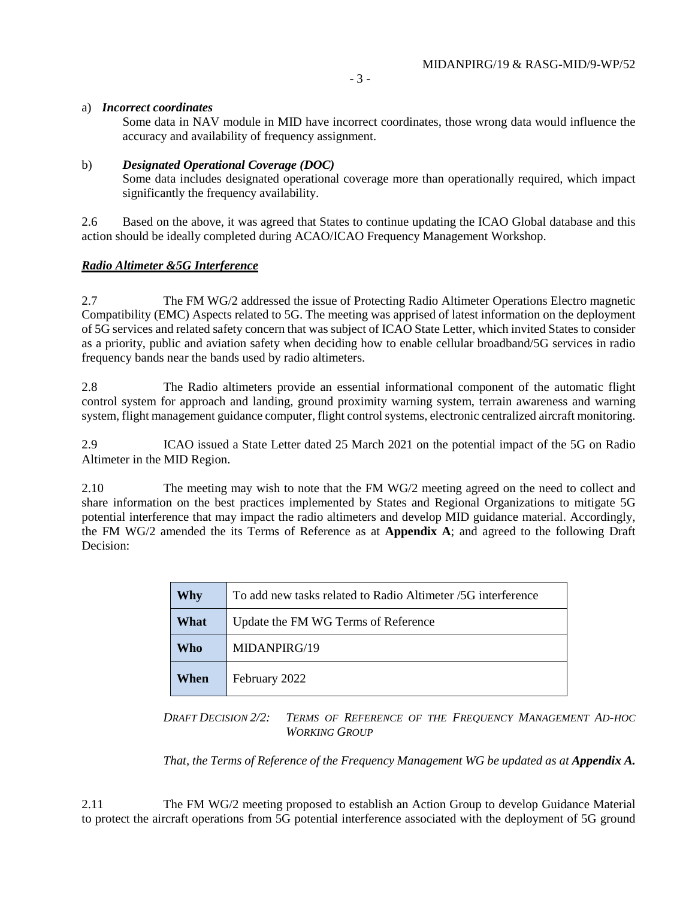## a) *Incorrect coordinates*

Some data in NAV module in MID have incorrect coordinates, those wrong data would influence the accuracy and availability of frequency assignment.

## b) *Designated Operational Coverage (DOC)*

Some data includes designated operational coverage more than operationally required, which impact significantly the frequency availability.

2.6 Based on the above, it was agreed that States to continue updating the ICAO Global database and this action should be ideally completed during ACAO/ICAO Frequency Management Workshop.

## *Radio Altimeter &5G Interference*

2.7 The FM WG/2 addressed the issue of Protecting Radio Altimeter Operations Electro magnetic Compatibility (EMC) Aspects related to 5G. The meeting was apprised of latest information on the deployment of 5G services and related safety concern that was subject of ICAO State Letter, which invited States to consider as a priority, public and aviation safety when deciding how to enable cellular broadband/5G services in radio frequency bands near the bands used by radio altimeters.

2.8 The Radio altimeters provide an essential informational component of the automatic flight control system for approach and landing, ground proximity warning system, terrain awareness and warning system, flight management guidance computer, flight control systems, electronic centralized aircraft monitoring.

2.9 ICAO issued a State Letter dated 25 March 2021 on the potential impact of the 5G on Radio Altimeter in the MID Region.

2.10 The meeting may wish to note that the FM WG/2 meeting agreed on the need to collect and share information on the best practices implemented by States and Regional Organizations to mitigate 5G potential interference that may impact the radio altimeters and develop MID guidance material. Accordingly, the FM WG/2 amended the its Terms of Reference as at **Appendix A**; and agreed to the following Draft Decision:

|  | Why  | To add new tasks related to Radio Altimeter /5G interference |
|--|------|--------------------------------------------------------------|
|  | What | Update the FM WG Terms of Reference                          |
|  | Who  | MIDANPIRG/19                                                 |
|  | When | February 2022                                                |

*DRAFT DECISION 2/2: TERMS OF REFERENCE OF THE FREQUENCY MANAGEMENT AD-HOC WORKING GROUP*

*That, the Terms of Reference of the Frequency Management WG be updated as at Appendix A.* 

2.11 The FM WG/2 meeting proposed to establish an Action Group to develop Guidance Material to protect the aircraft operations from 5G potential interference associated with the deployment of 5G ground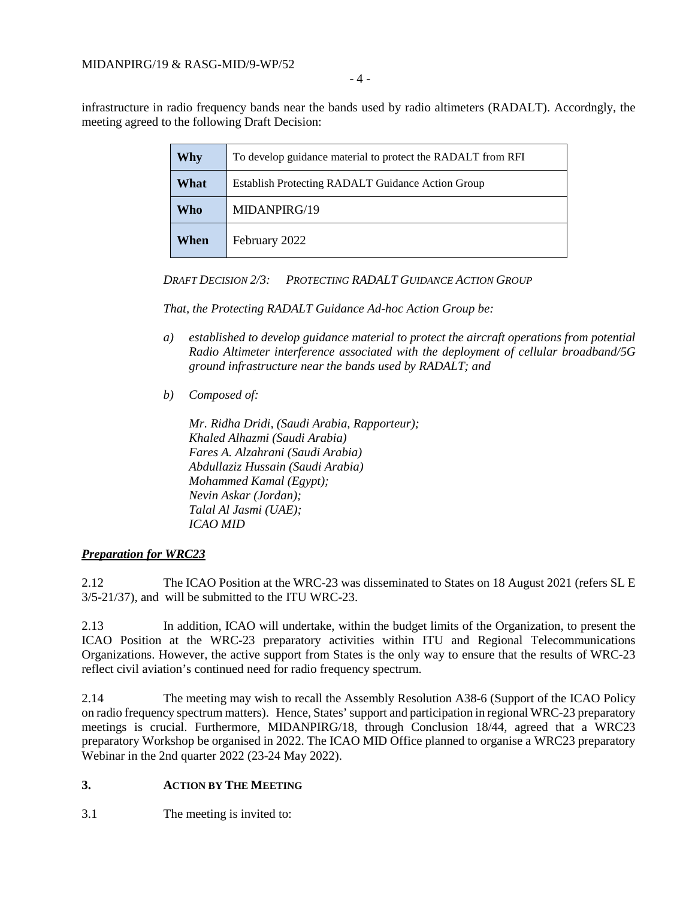infrastructure in radio frequency bands near the bands used by radio altimeters (RADALT). Accordngly, the meeting agreed to the following Draft Decision:

| Why  | To develop guidance material to protect the RADALT from RFI |
|------|-------------------------------------------------------------|
| What | <b>Establish Protecting RADALT Guidance Action Group</b>    |
| Who  | MIDANPIRG/19                                                |
| When | February 2022                                               |

# *DRAFT DECISION 2/3: PROTECTING RADALT GUIDANCE ACTION GROUP*

*That, the Protecting RADALT Guidance Ad-hoc Action Group be:*

- *a) established to develop guidance material to protect the aircraft operations from potential Radio Altimeter interference associated with the deployment of cellular broadband/5G ground infrastructure near the bands used by RADALT; and*
- *b) Composed of:*

*Mr. Ridha Dridi, (Saudi Arabia, Rapporteur); Khaled Alhazmi (Saudi Arabia) Fares A. Alzahrani (Saudi Arabia) Abdullaziz Hussain (Saudi Arabia) Mohammed Kamal (Egypt); Nevin Askar (Jordan); Talal Al Jasmi (UAE); ICAO MID*

# *Preparation for WRC23*

2.12 The ICAO Position at the WRC-23 was disseminated to States on 18 August 2021 (refers SL E 3/5-21/37), and will be submitted to the ITU WRC-23.

2.13 In addition, ICAO will undertake, within the budget limits of the Organization, to present the ICAO Position at the WRC-23 preparatory activities within ITU and Regional Telecommunications Organizations. However, the active support from States is the only way to ensure that the results of WRC-23 reflect civil aviation's continued need for radio frequency spectrum.

2.14 The meeting may wish to recall the Assembly Resolution A38-6 (Support of the ICAO Policy on radio frequency spectrum matters). Hence, States' support and participation in regional WRC-23 preparatory meetings is crucial. Furthermore, MIDANPIRG/18, through Conclusion 18/44, agreed that a WRC23 preparatory Workshop be organised in 2022. The ICAO MID Office planned to organise a WRC23 preparatory Webinar in the 2nd quarter 2022 (23-24 May 2022).

# **3. ACTION BY THE MEETING**

3.1 The meeting is invited to: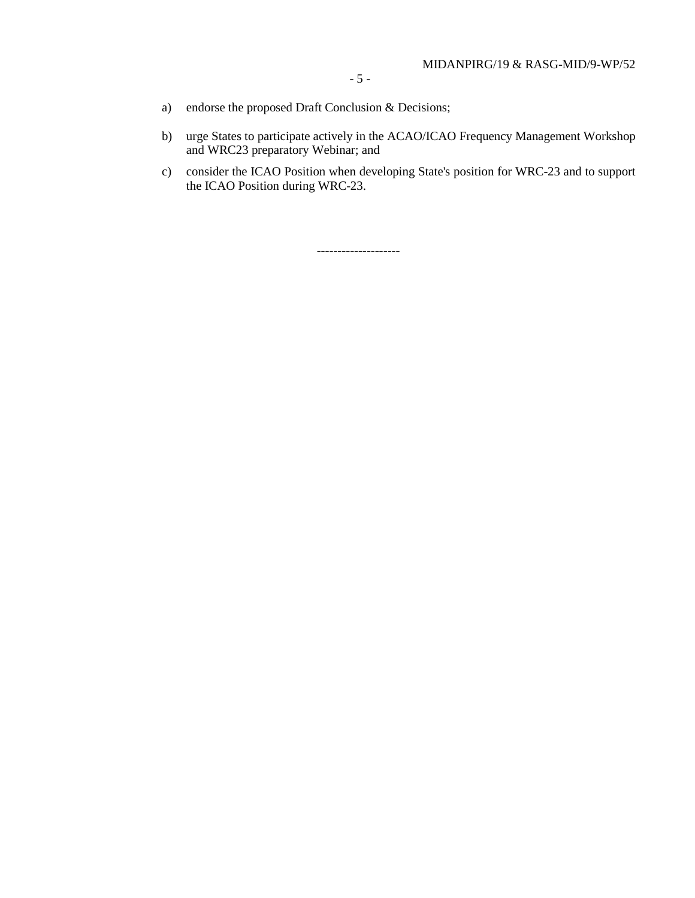- a) endorse the proposed Draft Conclusion & Decisions;
- b) urge States to participate actively in the ACAO/ICAO Frequency Management Workshop and WRC23 preparatory Webinar; and
- c) consider the ICAO Position when developing State's position for WRC-23 and to support the ICAO Position during WRC-23.

--------------------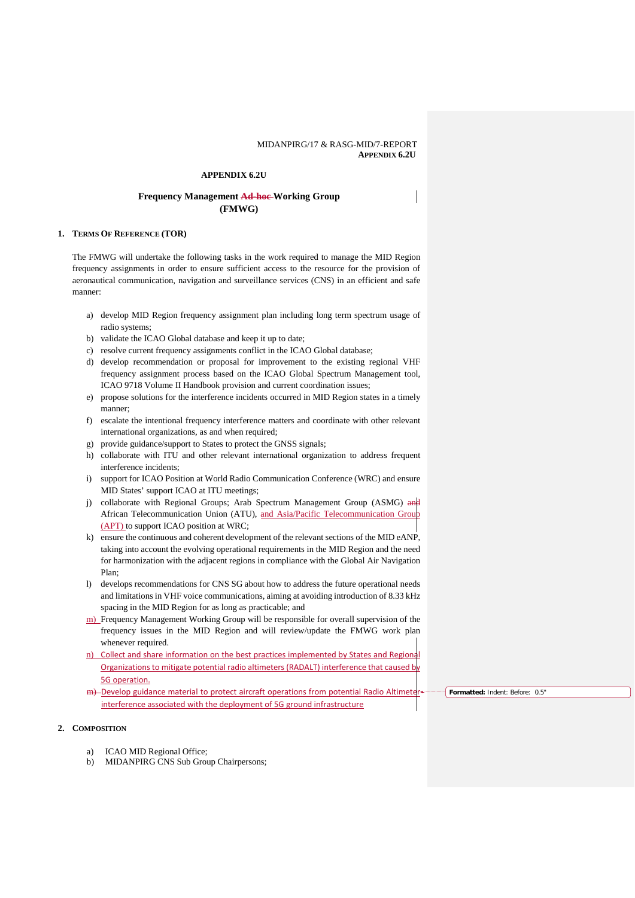#### MIDANPIRG/17 & RASG-MID/7-REPORT **APPENDIX 6.2U**

#### **APPENDIX 6.2U**

### **Frequency Management Ad-hoc Working Group (FMWG)**

#### **1. TERMS OF REFERENCE (TOR)**

The FMWG will undertake the following tasks in the work required to manage the MID Region frequency assignments in order to ensure sufficient access to the resource for the provision of aeronautical communication, navigation and surveillance services (CNS) in an efficient and safe manner:

- a) develop MID Region frequency assignment plan including long term spectrum usage of radio systems;
- b) validate the ICAO Global database and keep it up to date;
- c) resolve current frequency assignments conflict in the ICAO Global database;
- d) develop recommendation or proposal for improvement to the existing regional VHF frequency assignment process based on the ICAO Global Spectrum Management tool, ICAO 9718 Volume II Handbook provision and current coordination issues;
- e) propose solutions for the interference incidents occurred in MID Region states in a timely manner;
- f) escalate the intentional frequency interference matters and coordinate with other relevant international organizations, as and when required;
- g) provide guidance/support to States to protect the GNSS signals;
- h) collaborate with ITU and other relevant international organization to address frequent interference incidents;
- i) support for ICAO Position at World Radio Communication Conference (WRC) and ensure MID States' support ICAO at ITU meetings;
- j) collaborate with Regional Groups; Arab Spectrum Management Group (ASMG) and African Telecommunication Union (ATU), and Asia/Pacific Telecommunication Grou (APT) to support ICAO position at WRC;
- k) ensure the continuous and coherent development of the relevant sections of the MID eANP, taking into account the evolving operational requirements in the MID Region and the need for harmonization with the adjacent regions in compliance with the Global Air Navigation Plan;
- l) develops recommendations for CNS SG about how to address the future operational needs and limitations in VHF voice communications, aiming at avoiding introduction of 8.33 kHz spacing in the MID Region for as long as practicable; and
- m) Frequency Management Working Group will be responsible for overall supervision of the frequency issues in the MID Region and will review/update the FMWG work plan whenever required.
- n) Collect and share information on the best practices implemented by States and Regional Organizations to mitigate potential radio altimeters (RADALT) interference that caused b 5G operation.
- m) Develop guidance material to protect aircraft operations from potential Radio Altimeter interference associated with the deployment of 5G ground infrastructure

**Formatted:** Indent: Before: 0.5"

#### **2. COMPOSITION**

- a) ICAO MID Regional Office;
- b) MIDANPIRG CNS Sub Group Chairpersons;